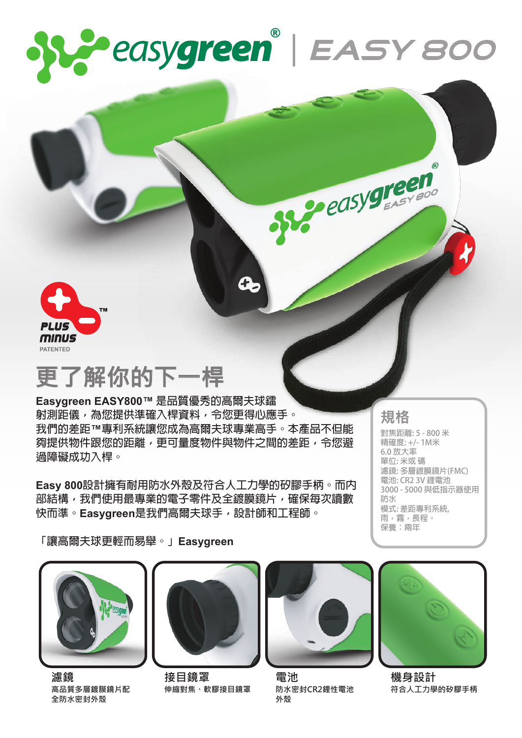



## **更了解你的下一桿**

**Easygreen EASY800™ 是品質優秀的高爾夫球鐳 射測距儀,為您提供準確入桿資料,令您更得心應手。 我們的差距™專利系統讓您成為高爾夫球專業高手。本產品不但能 夠提供物件跟您的距離,更可量度物件與物件之間的差距,令您避 過障礙成功入桿。**

**Easy 800設計擁有耐用防水外殼及符合人工力學的矽膠手柄。而內 部結構,我們使用最專業的電子零件及全鍍膜鏡片,確保每次讀數 快而準。Easygreen是我們高爾夫球手,設計師和工程師。**

**規格**

Peasygreen

**對焦距離: 5 - 800 米 精確度: +/- 1M米 6.0 放大率 單位: 米或 碼 濾鏡: 多層鍍膜鏡片(FMC) 電池: CR2 3V 鋰電池 3000 - 5000 與低指示器使用 防水 模式: 差距專利系統, 雨,霧,長程。 保養:兩年**

**「讓高爾夫球更輕而易舉。」Easygreen**



**濾鏡 高品質多層鍍膜鏡片配 全防水密封外殼**



**接目鏡罩 伸縮對焦、軟膠接目鏡罩**



**電池 防水密封CR2鋰性電池 外殼**



**機身設計 符合人工力學的矽膠手柄**